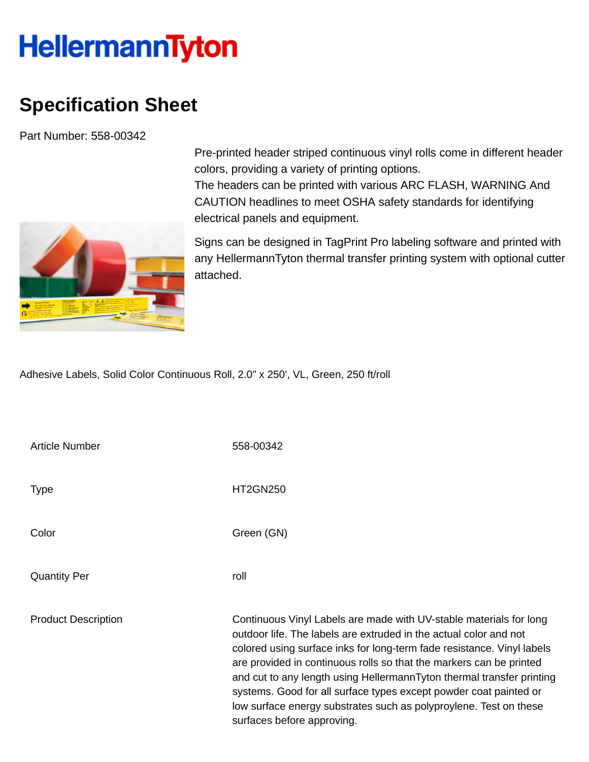## **HellermannTyton**

## **Specification Sheet**

Part Number: 558-00342



Pre-printed header striped continuous vinyl rolls come in different header colors, providing a variety of printing options. The headers can be printed with various ARC FLASH, WARNING And

CAUTION headlines to meet OSHA safety standards for identifying electrical panels and equipment.

Signs can be designed in TagPrint Pro labeling software and printed with any HellermannTyton thermal transfer printing system with optional cutter attached.

Adhesive Labels, Solid Color Continuous Roll, 2.0" x 250', VL, Green, 250 ft/roll

| <b>Article Number</b>      | 558-00342                                                                                                                                                                                                                                                                                                                                                                                                                                                                                                                                 |
|----------------------------|-------------------------------------------------------------------------------------------------------------------------------------------------------------------------------------------------------------------------------------------------------------------------------------------------------------------------------------------------------------------------------------------------------------------------------------------------------------------------------------------------------------------------------------------|
| <b>Type</b>                | <b>HT2GN250</b>                                                                                                                                                                                                                                                                                                                                                                                                                                                                                                                           |
| Color                      | Green (GN)                                                                                                                                                                                                                                                                                                                                                                                                                                                                                                                                |
| <b>Quantity Per</b>        | roll                                                                                                                                                                                                                                                                                                                                                                                                                                                                                                                                      |
| <b>Product Description</b> | Continuous Vinyl Labels are made with UV-stable materials for long<br>outdoor life. The labels are extruded in the actual color and not<br>colored using surface inks for long-term fade resistance. Vinyl labels<br>are provided in continuous rolls so that the markers can be printed<br>and cut to any length using HellermannTyton thermal transfer printing<br>systems. Good for all surface types except powder coat painted or<br>low surface energy substrates such as polyproylene. Test on these<br>surfaces before approving. |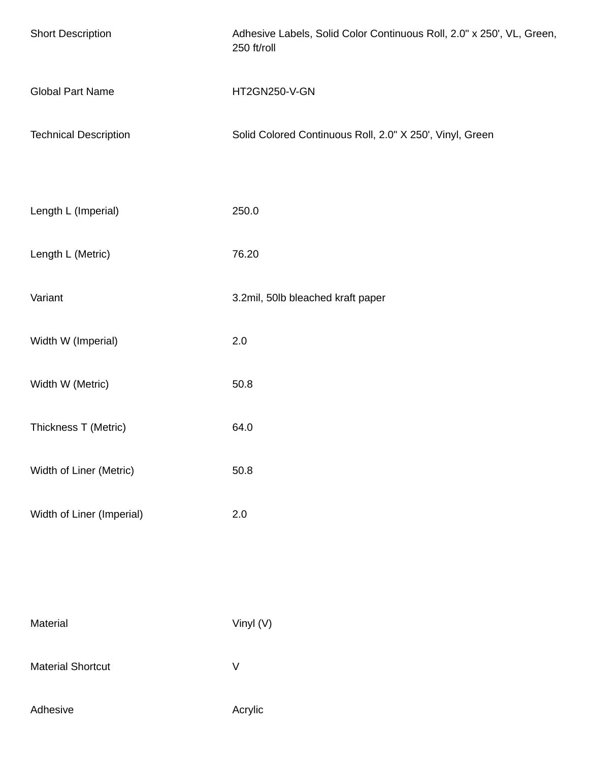| <b>Short Description</b>     | Adhesive Labels, Solid Color Continuous Roll, 2.0" x 250', VL, Green,<br>250 ft/roll |
|------------------------------|--------------------------------------------------------------------------------------|
| <b>Global Part Name</b>      | HT2GN250-V-GN                                                                        |
| <b>Technical Description</b> | Solid Colored Continuous Roll, 2.0" X 250', Vinyl, Green                             |
|                              |                                                                                      |
| Length L (Imperial)          | 250.0                                                                                |
| Length L (Metric)            | 76.20                                                                                |
| Variant                      | 3.2mil, 50lb bleached kraft paper                                                    |
| Width W (Imperial)           | 2.0                                                                                  |
| Width W (Metric)             | 50.8                                                                                 |
| Thickness T (Metric)         | 64.0                                                                                 |
| Width of Liner (Metric)      | 50.8                                                                                 |
| Width of Liner (Imperial)    | $2.0\,$                                                                              |
|                              |                                                                                      |
|                              |                                                                                      |
| Material                     | Vinyl (V)                                                                            |
| <b>Material Shortcut</b>     | $\vee$                                                                               |
| Adhesive                     | Acrylic                                                                              |